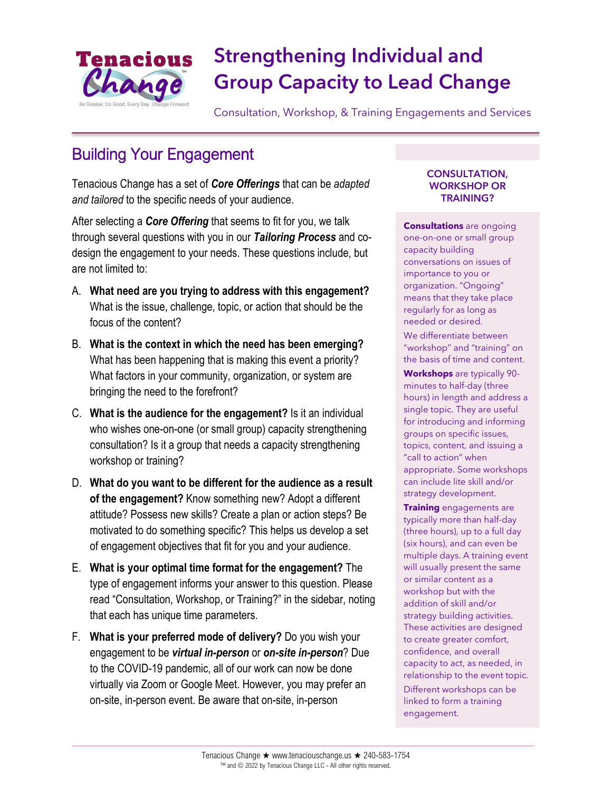

# Strengthening Individual and Group Capacity to Lead Change

Consultation, Workshop, & Training Engagements and Services

## Building Your Engagement

Tenacious Change has a set of *Core Offerings* that can be *adapted and tailored* to the specific needs of your audience.

After selecting a *Core Offering* that seems to fit for you, we talk through several questions with you in our *Tailoring Process* and codesign the engagement to your needs. These questions include, but are not limited to:

- A. **What need are you trying to address with this engagement?**  What is the issue, challenge, topic, or action that should be the focus of the content?
- B. **What is the context in which the need has been emerging?** What has been happening that is making this event a priority? What factors in your community, organization, or system are bringing the need to the forefront?
- C. **What is the audience for the engagement?** Is it an individual who wishes one-on-one (or small group) capacity strengthening consultation? Is it a group that needs a capacity strengthening workshop or training?
- D. **What do you want to be different for the audience as a result of the engagement?** Know something new? Adopt a different attitude? Possess new skills? Create a plan or action steps? Be motivated to do something specific? This helps us develop a set of engagement objectives that fit for you and your audience.
- E. **What is your optimal time format for the engagement?** The type of engagement informs your answer to this question. Please read "Consultation, Workshop, or Training?" in the sidebar, noting that each has unique time parameters.
- F. **What is your preferred mode of delivery?** Do you wish your engagement to be *virtual in-person* or *on-site in-person*? Due to the COVID-19 pandemic, all of our work can now be done virtually via Zoom or Google Meet. However, you may prefer an on-site, in-person event. Be aware that on-site, in-person

#### CONSULTATION, WORKSHOP OR TRAINING?

**Consultations** are ongoing one-on-one or small group capacity building conversations on issues of importance to you or organization. "Ongoing" means that they take place regularly for as long as needed or desired. We differentiate between "workshop" and "training" on the basis of time and content.

**Workshops** are typically 90 minutes to half-day (three hours) in length and address a single topic. They are useful for introducing and informing groups on specific issues, topics, content, and issuing a "call to action" when appropriate. Some workshops can include lite skill and/or strategy development.

**Training** engagements are typically more than half-day (three hours), up to a full day (six hours), and can even be multiple days. A training event will usually present the same or similar content as a workshop but with the addition of skill and/or strategy building activities. These activities are designed to create greater comfort, confidence, and overall capacity to act, as needed, in relationship to the event topic. Different workshops can be linked to form a training engagement.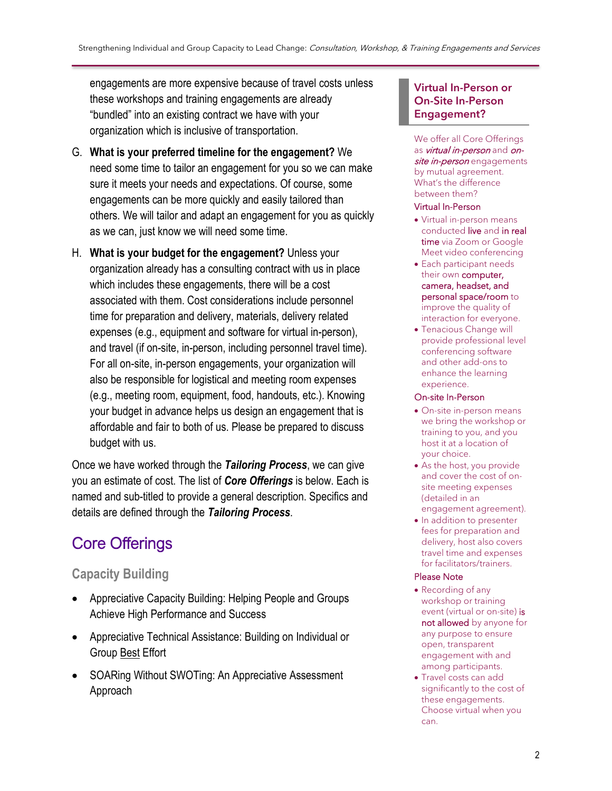engagements are more expensive because of travel costs unless these workshops and training engagements are already "bundled" into an existing contract we have with your organization which is inclusive of transportation.

- G. **What is your preferred timeline for the engagement?** We need some time to tailor an engagement for you so we can make sure it meets your needs and expectations. Of course, some engagements can be more quickly and easily tailored than others. We will tailor and adapt an engagement for you as quickly as we can, just know we will need some time.
- H. **What is your budget for the engagement?** Unless your organization already has a consulting contract with us in place which includes these engagements, there will be a cost associated with them. Cost considerations include personnel time for preparation and delivery, materials, delivery related expenses (e.g., equipment and software for virtual in-person), and travel (if on-site, in-person, including personnel travel time). For all on-site, in-person engagements, your organization will also be responsible for logistical and meeting room expenses (e.g., meeting room, equipment, food, handouts, etc.). Knowing your budget in advance helps us design an engagement that is affordable and fair to both of us. Please be prepared to discuss budget with us.

Once we have worked through the *Tailoring Process*, we can give you an estimate of cost. The list of *Core Offerings* is below. Each is named and sub-titled to provide a general description. Specifics and details are defined through the *Tailoring Process*.

## Core Offerings

### **Capacity Building**

- Appreciative Capacity Building: Helping People and Groups Achieve High Performance and Success
- Appreciative Technical Assistance: Building on Individual or Group Best Effort
- SOARing Without SWOTing: An Appreciative Assessment Approach

#### Virtual In-Person or On-Site In-Person Engagement?

We offer all Core Offerings as *virtual in-person* and onsite in-person engagements by mutual agreement. What's the difference between them?

#### Virtual In-Person

- Virtual in-person means conducted live and in real time via Zoom or Google Meet video conferencing
- Each participant needs their own computer, camera, headset, and personal space/room to improve the quality of interaction for everyone.
- Tenacious Change will provide professional level conferencing software and other add-ons to enhance the learning experience.

#### On-site In-Person

- On-site in-person means we bring the workshop or training to you, and you host it at a location of your choice.
- As the host, you provide and cover the cost of onsite meeting expenses (detailed in an engagement agreement).
- In addition to presenter fees for preparation and delivery, host also covers travel time and expenses for facilitators/trainers.

#### Please Note

- Recording of any workshop or training event (virtual or on-site) is not allowed by anyone for any purpose to ensure open, transparent engagement with and among participants.
- Travel costs can add significantly to the cost of these engagements. Choose virtual when you can.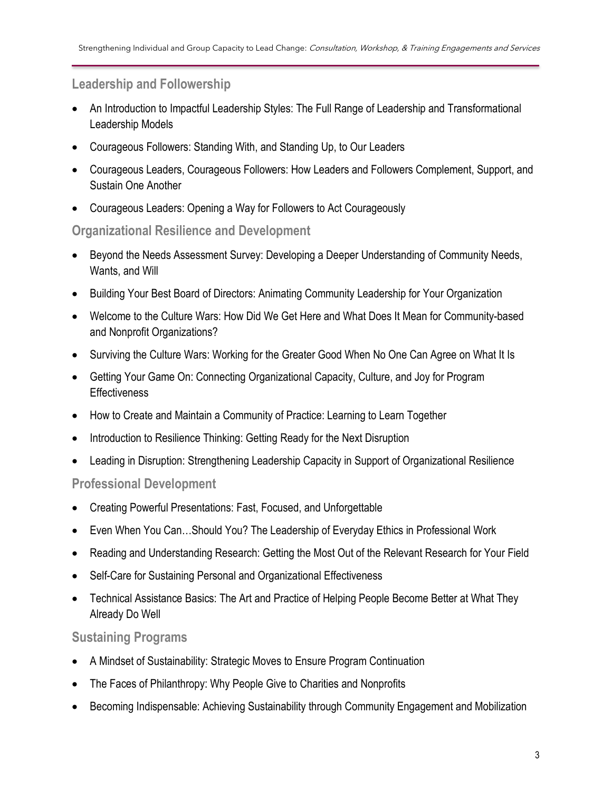#### **Leadership and Followership**

- An Introduction to Impactful Leadership Styles: The Full Range of Leadership and Transformational Leadership Models
- Courageous Followers: Standing With, and Standing Up, to Our Leaders
- Courageous Leaders, Courageous Followers: How Leaders and Followers Complement, Support, and Sustain One Another
- Courageous Leaders: Opening a Way for Followers to Act Courageously

#### **Organizational Resilience and Development**

- Beyond the Needs Assessment Survey: Developing a Deeper Understanding of Community Needs, Wants, and Will
- Building Your Best Board of Directors: Animating Community Leadership for Your Organization
- Welcome to the Culture Wars: How Did We Get Here and What Does It Mean for Community-based and Nonprofit Organizations?
- Surviving the Culture Wars: Working for the Greater Good When No One Can Agree on What It Is
- Getting Your Game On: Connecting Organizational Capacity, Culture, and Joy for Program **Effectiveness**
- How to Create and Maintain a Community of Practice: Learning to Learn Together
- Introduction to Resilience Thinking: Getting Ready for the Next Disruption
- Leading in Disruption: Strengthening Leadership Capacity in Support of Organizational Resilience

#### **Professional Development**

- Creating Powerful Presentations: Fast, Focused, and Unforgettable
- Even When You Can…Should You? The Leadership of Everyday Ethics in Professional Work
- Reading and Understanding Research: Getting the Most Out of the Relevant Research for Your Field
- Self-Care for Sustaining Personal and Organizational Effectiveness
- Technical Assistance Basics: The Art and Practice of Helping People Become Better at What They Already Do Well

#### **Sustaining Programs**

- A Mindset of Sustainability: Strategic Moves to Ensure Program Continuation
- The Faces of Philanthropy: Why People Give to Charities and Nonprofits
- Becoming Indispensable: Achieving Sustainability through Community Engagement and Mobilization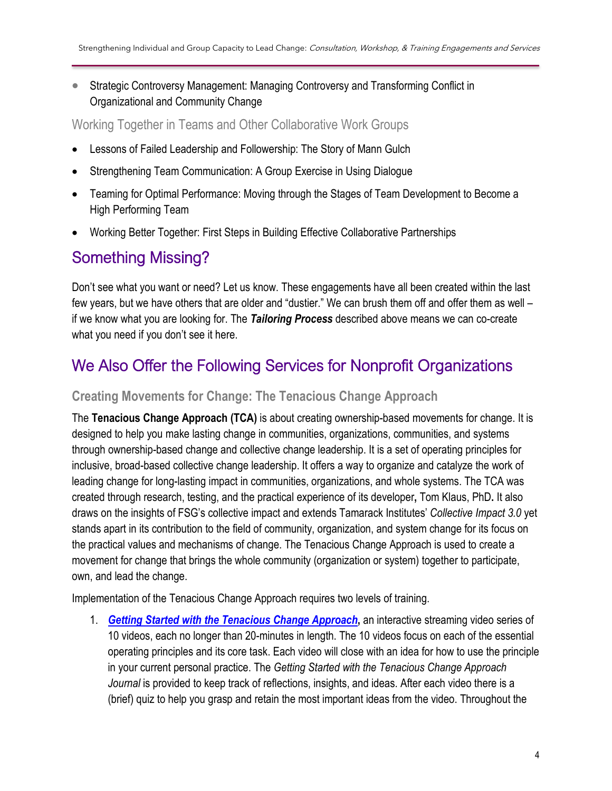• Strategic Controversy Management: Managing Controversy and Transforming Conflict in Organizational and Community Change

Working Together in Teams and Other Collaborative Work Groups

- Lessons of Failed Leadership and Followership: The Story of Mann Gulch
- Strengthening Team Communication: A Group Exercise in Using Dialogue
- Teaming for Optimal Performance: Moving through the Stages of Team Development to Become a High Performing Team
- Working Better Together: First Steps in Building Effective Collaborative Partnerships

## Something Missing?

Don't see what you want or need? Let us know. These engagements have all been created within the last few years, but we have others that are older and "dustier." We can brush them off and offer them as well – if we know what you are looking for. The *Tailoring Process* described above means we can co-create what you need if you don't see it here.

## We Also Offer the Following Services for Nonprofit Organizations

#### **Creating Movements for Change: The Tenacious Change Approach**

The **Tenacious Change Approach (TCA)** is about creating ownership-based movements for change. It is designed to help you make lasting change in communities, organizations, communities, and systems through ownership-based change and collective change leadership. It is a set of operating principles for inclusive, broad-based collective change leadership. It offers a way to organize and catalyze the work of leading change for long-lasting impact in communities, organizations, and whole systems. The TCA was created through research, testing, and the practical experience of its developer**,** Tom Klaus, PhD**.** It also draws on the insights of FSG's collective impact and extends Tamarack Institutes' *Collective Impact 3.0* yet stands apart in its contribution to the field of community, organization, and system change for its focus on the practical values and mechanisms of change. The Tenacious Change Approach is used to create a movement for change that brings the whole community (organization or system) together to participate, own, and lead the change.

Implementation of the Tenacious Change Approach requires two levels of training.

1. *[Getting Started with the Tenacious Change Approach](https://tenaciouschange.us/introducing-sneak-preview/)***,** an interactive streaming video series of 10 videos, each no longer than 20-minutes in length. The 10 videos focus on each of the essential operating principles and its core task. Each video will close with an idea for how to use the principle in your current personal practice. The *Getting Started with the Tenacious Change Approach Journal* is provided to keep track of reflections, insights, and ideas. After each video there is a (brief) quiz to help you grasp and retain the most important ideas from the video. Throughout the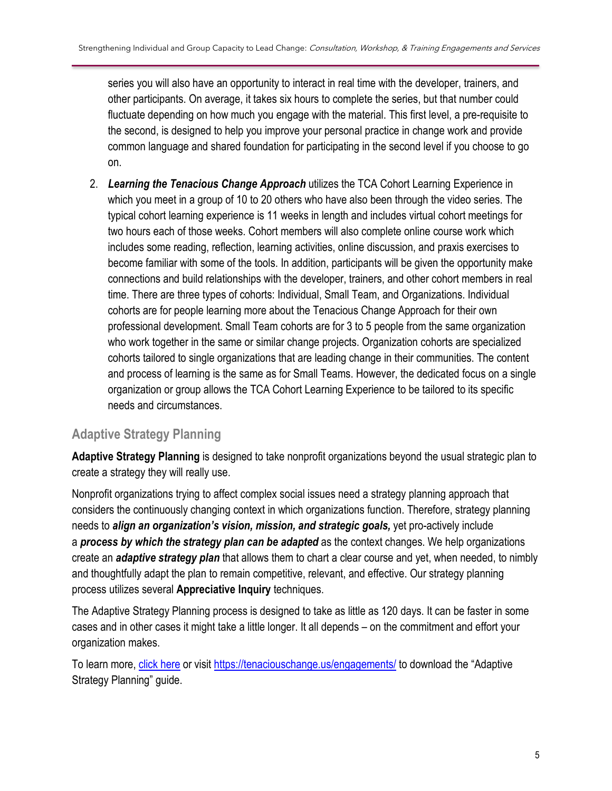series you will also have an opportunity to interact in real time with the developer, trainers, and other participants. On average, it takes six hours to complete the series, but that number could fluctuate depending on how much you engage with the material. This first level, a pre-requisite to the second, is designed to help you improve your personal practice in change work and provide common language and shared foundation for participating in the second level if you choose to go on.

2. *Learning the Tenacious Change Approach* utilizes the TCA Cohort Learning Experience in which you meet in a group of 10 to 20 others who have also been through the video series. The typical cohort learning experience is 11 weeks in length and includes virtual cohort meetings for two hours each of those weeks. Cohort members will also complete online course work which includes some reading, reflection, learning activities, online discussion, and praxis exercises to become familiar with some of the tools. In addition, participants will be given the opportunity make connections and build relationships with the developer, trainers, and other cohort members in real time. There are three types of cohorts: Individual, Small Team, and Organizations. Individual cohorts are for people learning more about the Tenacious Change Approach for their own professional development. Small Team cohorts are for 3 to 5 people from the same organization who work together in the same or similar change projects. Organization cohorts are specialized cohorts tailored to single organizations that are leading change in their communities. The content and process of learning is the same as for Small Teams. However, the dedicated focus on a single organization or group allows the TCA Cohort Learning Experience to be tailored to its specific needs and circumstances.

### **Adaptive Strategy Planning**

**Adaptive Strategy Planning** is designed to take nonprofit organizations beyond the usual strategic plan to create a strategy they will really use.

Nonprofit organizations trying to affect complex social issues need a strategy planning approach that considers the continuously changing context in which organizations function. Therefore, strategy planning needs to *align an organization's vision, mission, and strategic goals,* yet pro-actively include a *process by which the strategy plan can be adapted* as the context changes. We help organizations create an *adaptive strategy plan* that allows them to chart a clear course and yet, when needed, to nimbly and thoughtfully adapt the plan to remain competitive, relevant, and effective. Our strategy planning process utilizes several **Appreciative Inquiry** techniques.

The Adaptive Strategy Planning process is designed to take as little as 120 days. It can be faster in some cases and in other cases it might take a little longer. It all depends – on the commitment and effort your organization makes.

To learn more[, click here](https://tenaciouschange.us/engagements/) or visit<https://tenaciouschange.us/engagements/> to download the "Adaptive Strategy Planning" guide.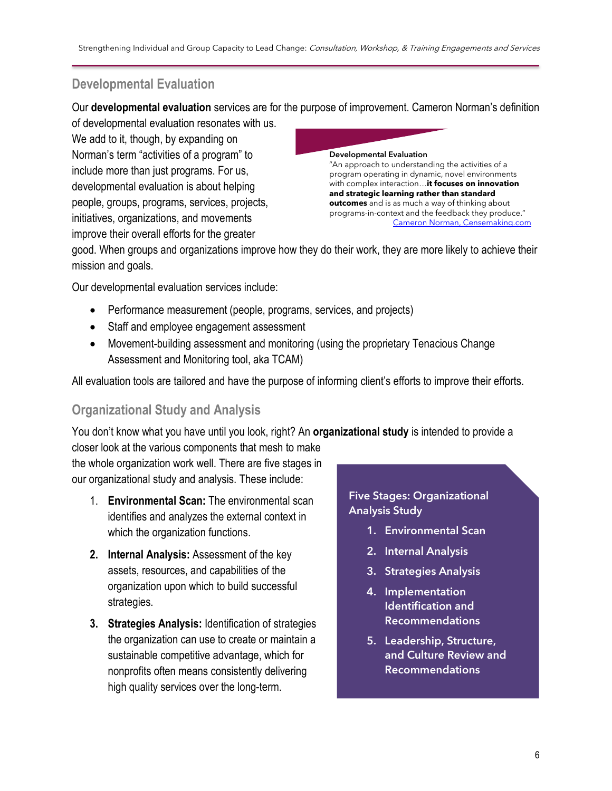### **Developmental Evaluation**

Our **developmental evaluation** services are for the purpose of improvement. Cameron Norman's definition

of developmental evaluation resonates with us. We add to it, though, by expanding on Norman's term "activities of a program" to include more than just programs. For us, developmental evaluation is about helping people, groups, programs, services, projects, initiatives, organizations, and movements improve their overall efforts for the greater



good. When groups and organizations improve how they do their work, they are more likely to achieve their mission and goals.

Our developmental evaluation services include:

- Performance measurement (people, programs, services, and projects)
- Staff and employee engagement assessment
- Movement-building assessment and monitoring (using the proprietary Tenacious Change Assessment and Monitoring tool, aka TCAM)

All evaluation tools are tailored and have the purpose of informing client's efforts to improve their efforts.

### **Organizational Study and Analysis**

You don't know what you have until you look, right? An **organizational study** is intended to provide a

closer look at the various components that mesh to make the whole organization work well. There are five stages in our organizational study and analysis. These include:

- 1. **Environmental Scan:** The environmental scan identifies and analyzes the external context in which the organization functions.
- **2. Internal Analysis:** Assessment of the key assets, resources, and capabilities of the organization upon which to build successful strategies.
- **3. Strategies Analysis:** Identification of strategies the organization can use to create or maintain a sustainable competitive advantage, which for nonprofits often means consistently delivering high quality services over the long-term.

Five Stages: Organizational Analysis Study

- 1. Environmental Scan
- 2. Internal Analysis
- 3. Strategies Analysis
- 4. Implementation Identification and Recommendations
- 5. Leadership, Structure, and Culture Review and Recommendations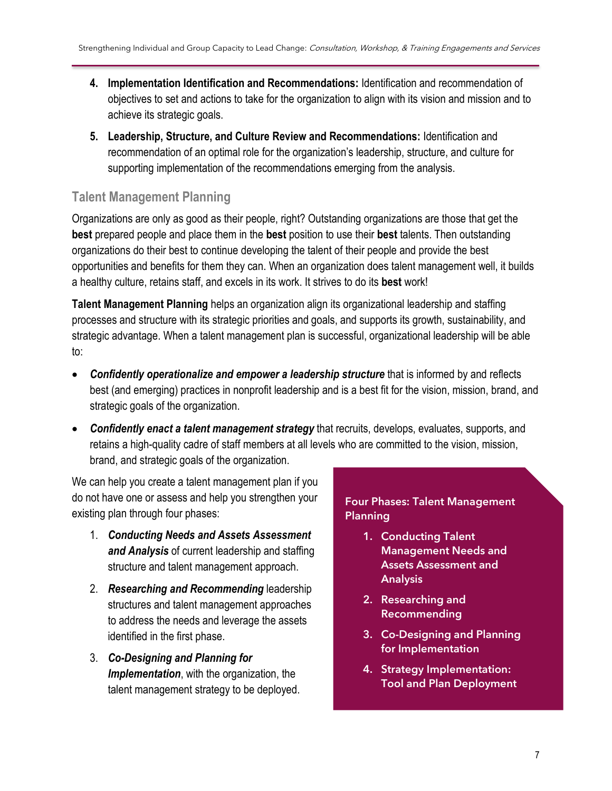- **4. Implementation Identification and Recommendations:** Identification and recommendation of objectives to set and actions to take for the organization to align with its vision and mission and to achieve its strategic goals.
- **5. Leadership, Structure, and Culture Review and Recommendations:** Identification and recommendation of an optimal role for the organization's leadership, structure, and culture for supporting implementation of the recommendations emerging from the analysis.

### **Talent Management Planning**

Organizations are only as good as their people, right? Outstanding organizations are those that get the **best** prepared people and place them in the **best** position to use their **best** talents. Then outstanding organizations do their best to continue developing the talent of their people and provide the best opportunities and benefits for them they can. When an organization does talent management well, it builds a healthy culture, retains staff, and excels in its work. It strives to do its **best** work!

**Talent Management Planning** helps an organization align its organizational leadership and staffing processes and structure with its strategic priorities and goals, and supports its growth, sustainability, and strategic advantage. When a talent management plan is successful, organizational leadership will be able to:

- *Confidently operationalize and empower a leadership structure* that is informed by and reflects best (and emerging) practices in nonprofit leadership and is a best fit for the vision, mission, brand, and strategic goals of the organization.
- *Confidently enact a talent management strategy* that recruits, develops, evaluates, supports, and retains a high-quality cadre of staff members at all levels who are committed to the vision, mission, brand, and strategic goals of the organization.

We can help you create a talent management plan if you do not have one or assess and help you strengthen your existing plan through four phases:

- 1. *Conducting Needs and Assets Assessment and Analysis* of current leadership and staffing structure and talent management approach.
- 2. *Researching and Recommending* leadership structures and talent management approaches to address the needs and leverage the assets identified in the first phase.
- 3. *Co-Designing and Planning for Implementation*, with the organization, the talent management strategy to be deployed.

#### Four Phases: Talent Management Planning

- 1. Conducting Talent Management Needs and Assets Assessment and Analysis
- 2. Researching and Recommending
- 3. Co-Designing and Planning for Implementation
- 4. Strategy Implementation: Tool and Plan Deployment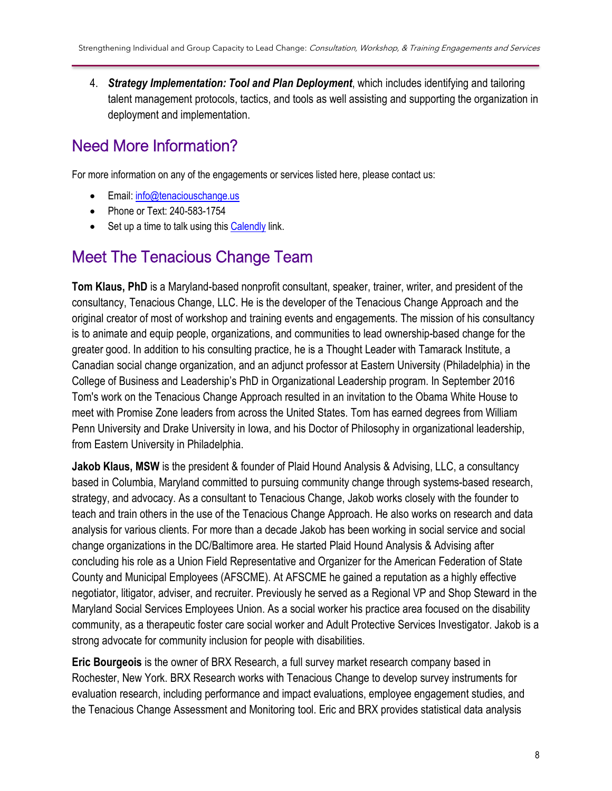4. *Strategy Implementation: Tool and Plan Deployment*, which includes identifying and tailoring talent management protocols, tactics, and tools as well assisting and supporting the organization in deployment and implementation.

## Need More Information?

For more information on any of the engagements or services listed here, please contact us:

- Email[: info@tenaciouschange.us](mailto:info@tenaciouschange.us)
- Phone or Text: 240-583-1754
- Set up a time to talk using this [Calendly](https://calendly.com/tenaciouschange/tenacious-change-approach) link.

### Meet The Tenacious Change Team

**Tom Klaus, PhD** is a Maryland-based nonprofit consultant, speaker, trainer, writer, and president of the consultancy, Tenacious Change, LLC. He is the developer of the Tenacious Change Approach and the original creator of most of workshop and training events and engagements. The mission of his consultancy is to animate and equip people, organizations, and communities to lead ownership-based change for the greater good. In addition to his consulting practice, he is a Thought Leader with Tamarack Institute, a Canadian social change organization, and an adjunct professor at Eastern University (Philadelphia) in the College of Business and Leadership's PhD in Organizational Leadership program. In September 2016 Tom's work on the Tenacious Change Approach resulted in an invitation to the Obama White House to meet with Promise Zone leaders from across the United States. Tom has earned degrees from William Penn University and Drake University in Iowa, and his Doctor of Philosophy in organizational leadership, from Eastern University in Philadelphia.

**Jakob Klaus, MSW** is the president & founder of Plaid Hound Analysis & Advising, LLC, a consultancy based in Columbia, Maryland committed to pursuing community change through systems-based research, strategy, and advocacy. As a consultant to Tenacious Change, Jakob works closely with the founder to teach and train others in the use of the Tenacious Change Approach. He also works on research and data analysis for various clients. For more than a decade Jakob has been working in social service and social change organizations in the DC/Baltimore area. He started Plaid Hound Analysis & Advising after concluding his role as a Union Field Representative and Organizer for the American Federation of State County and Municipal Employees (AFSCME). At AFSCME he gained a reputation as a highly effective negotiator, litigator, adviser, and recruiter. Previously he served as a Regional VP and Shop Steward in the Maryland Social Services Employees Union. As a social worker his practice area focused on the disability community, as a therapeutic foster care social worker and Adult Protective Services Investigator. Jakob is a strong advocate for community inclusion for people with disabilities.

**Eric Bourgeois** is the owner of BRX Research, a full survey market research company based in Rochester, New York. BRX Research works with Tenacious Change to develop survey instruments for evaluation research, including performance and impact evaluations, employee engagement studies, and the Tenacious Change Assessment and Monitoring tool. Eric and BRX provides statistical data analysis